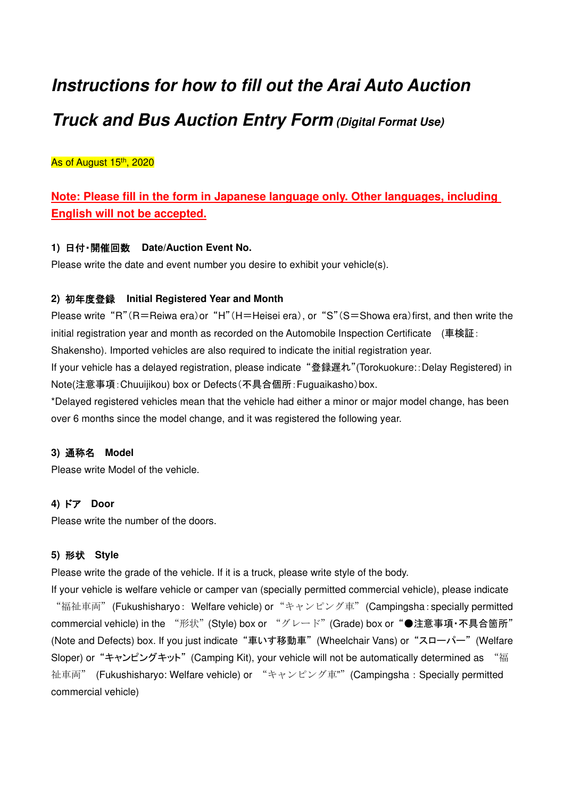# **Instructions for how to fill out the Arai Auto Auction Truck and Bus Auction Entry Form (Digital Format Use)**

As of August 15<sup>th</sup>, 2020

## **Note: Please fill in the form in Japanese language only. Other languages, including English will not be accepted.**

## **1)** 日付・開催回数 **Date/Auction Event No.**

Please write the date and event number you desire to exhibit your vehicle(s).

## **2)** 初年度登録 **Initial Registered Year and Month**

Please write "R"(R=Reiwa era)or "H"(H=Heisei era), or "S"(S=Showa era)first, and then write the initial registration year and month as recorded on the Automobile Inspection Certificate (車検証:

Shakensho). Imported vehicles are also required to indicate the initial registration year.

If your vehicle has a delayed registration, please indicate "登録遅れ"(Torokuokure::Delay Registered) in Note(注意事項:Chuuijikou) box or Defects(不具合個所:Fuguaikasho)box.

\*Delayed registered vehicles mean that the vehicle had either a minor or major model change, has been over 6 months since the model change, and it was registered the following year.

## **3)** 通称名 **Model**

Please write Model of the vehicle.

## **4)** ドア **Door**

Please write the number of the doors.

## **5)** 形状 **Style**

Please write the grade of the vehicle. If it is a truck, please write style of the body.

If your vehicle is welfare vehicle or camper van (specially permitted commercial vehicle), please indicate "福祉車両" (Fukushisharyo: Welfare vehicle) or "キャンピング車" (Campingsha: specially permitted commercial vehicle) in the "形状"(Style) box or "グレード"(Grade) box or "●注意事項·不具合箇所" (Note and Defects) box. If you just indicate "車いす移動車" (Wheelchair Vans) or "スローパー" (Welfare Sloper) or "キャンピングキット" (Camping Kit), your vehicle will not be automatically determined as "福 社車両" (Fukushisharyo: Welfare vehicle) or "キャンピング車"" (Campingsha: Specially permitted commercial vehicle)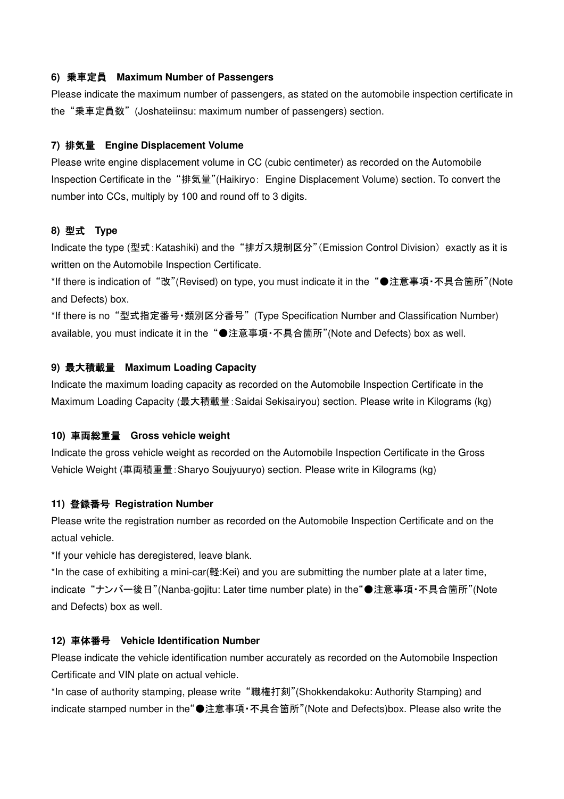#### **6)** 乗車定員 **Maximum Number of Passengers**

Please indicate the maximum number of passengers, as stated on the automobile inspection certificate in the "乗車定員数" (Joshateiinsu: maximum number of passengers) section.

#### **7)** 排気量 **Engine Displacement Volume**

Please write engine displacement volume in CC (cubic centimeter) as recorded on the Automobile Inspection Certificate in the "排気量"(Haikiryo: Engine Displacement Volume) section. To convert the number into CCs, multiply by 100 and round off to 3 digits.

#### **8)** 型式 **Type**

Indicate the type (型式:Katashiki) and the "排ガス規制区分"(Emission Control Division) exactly as it is written on the Automobile Inspection Certificate.

\*If there is indication of "改"(Revised) on type, you must indicate it in the "●注意事項・不具合箇所"(Note and Defects) box.

\*If there is no "型式指定番号・類別区分番号" (Type Specification Number and Classification Number) available, you must indicate it in the "●注意事項・不具合箇所"(Note and Defects) box as well.

#### **9)** 最大積載量 **Maximum Loading Capacity**

Indicate the maximum loading capacity as recorded on the Automobile Inspection Certificate in the Maximum Loading Capacity (最大積載量:Saidai Sekisairyou) section. Please write in Kilograms (kg)

#### **10)** 車両総重量 **Gross vehicle weight**

Indicate the gross vehicle weight as recorded on the Automobile Inspection Certificate in the Gross Vehicle Weight (車両積重量:Sharyo Soujyuuryo) section. Please write in Kilograms (kg)

## **11)** 登録番号 **Registration Number**

Please write the registration number as recorded on the Automobile Inspection Certificate and on the actual vehicle.

\*If your vehicle has deregistered, leave blank.

\*In the case of exhibiting a mini-car(軽:Kei) and you are submitting the number plate at a later time, indicate "ナンバー後日"(Nanba-gojitu: Later time number plate) in the"●注意事項・不具合箇所"(Note and Defects) box as well.

#### **12)** 車体番号 **Vehicle Identification Number**

Please indicate the vehicle identification number accurately as recorded on the Automobile Inspection Certificate and VIN plate on actual vehicle.

\*In case of authority stamping, please write "職権打刻"(Shokkendakoku: Authority Stamping) and indicate stamped number in the"●注意事項・不具合箇所"(Note and Defects)box. Please also write the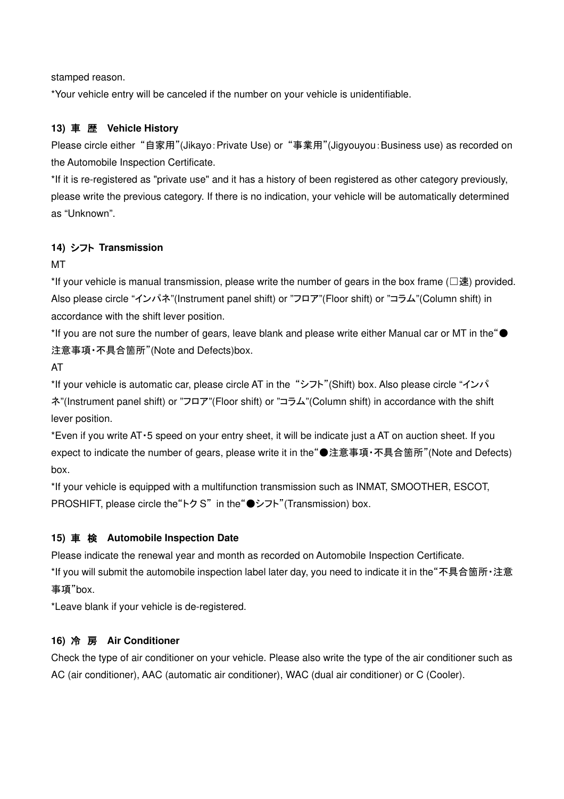stamped reason.

\*Your vehicle entry will be canceled if the number on your vehicle is unidentifiable.

## **13)** 車 歴 **Vehicle History**

Please circle either "自家用"(Jikayo: Private Use) or "事業用"(Jigyouyou: Business use) as recorded on the Automobile Inspection Certificate.

\*If it is re-registered as "private use" and it has a history of been registered as other category previously, please write the previous category. If there is no indication, your vehicle will be automatically determined as "Unknown".

## **14)** シフト **Transmission**

MT

\*If your vehicle is manual transmission, please write the number of gears in the box frame ( $□$ 速) provided. Also please circle "インパネ"(Instrument panel shift) or "フロア"(Floor shift) or "コラム"(Column shift) in accordance with the shift lever position.

\*If you are not sure the number of gears, leave blank and please write either Manual car or MT in the"● 注意事項・不具合箇所"(Note and Defects)box.

AT

\*If your vehicle is automatic car, please circle AT in the "シフト"(Shift) box. Also please circle "インパ ネ"(Instrument panel shift) or "フロア"(Floor shift) or "コラム"(Column shift) in accordance with the shift lever position.

\*Even if you write AT・5 speed on your entry sheet, it will be indicate just a AT on auction sheet. If you expect to indicate the number of gears, please write it in the"●注意事項・不具合箇所"(Note and Defects) box.

\*If your vehicle is equipped with a multifunction transmission such as INMAT, SMOOTHER, ESCOT, PROSHIFT, please circle the"トク S" in the"●シフト"(Transmission) box.

## **15)** 車 検 **Automobile Inspection Date**

Please indicate the renewal year and month as recorded on Automobile Inspection Certificate.

\*If you will submit the automobile inspection label later day, you need to indicate it in the"不具合箇所・注意 事項"box.

\*Leave blank if your vehicle is de-registered.

## **16)** 冷 房 **Air Conditioner**

Check the type of air conditioner on your vehicle. Please also write the type of the air conditioner such as AC (air conditioner), AAC (automatic air conditioner), WAC (dual air conditioner) or C (Cooler).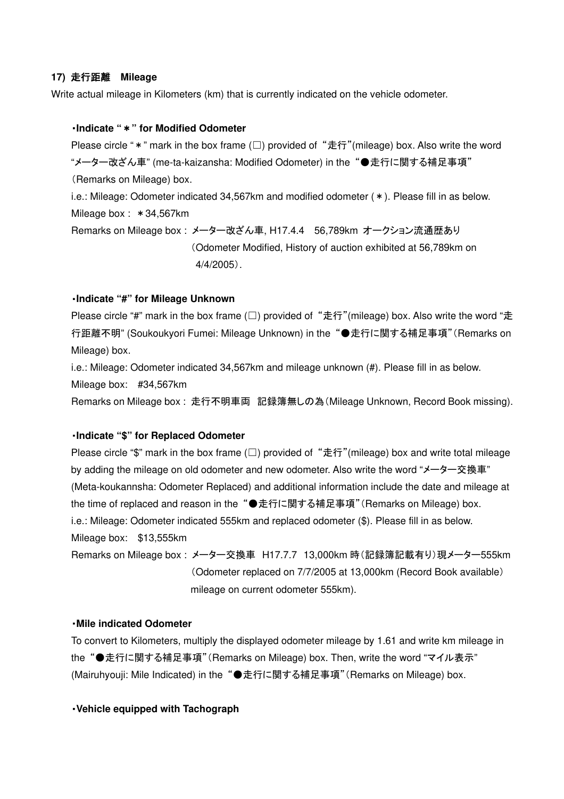#### **17)** 走行距離 **Mileage**

Write actual mileage in Kilometers (km) that is currently indicated on the vehicle odometer.

#### ・**Indicate "**\***" for Modified Odometer**

Please circle "  $*$  " mark in the box frame (□) provided of "走行"(mileage) box. Also write the word "メーター改ざん車" (me-ta-kaizansha: Modified Odometer) in the "●走行に関する補足事項" (Remarks on Mileage) box.

i.e.: Mileage: Odometer indicated 34,567km and modified odometer (\*). Please fill in as below. Mileage box: \* 34,567km

Remarks on Mileage box : メーター改ざん車, H17.4.4 56,789km オークション流通歴あり (Odometer Modified, History of auction exhibited at 56,789km on 4/4/2005).

#### ・**Indicate "#" for Mileage Unknown**

Please circle "#" mark in the box frame (□) provided of "走行"(mileage) box. Also write the word "走 行距離不明" (Soukoukyori Fumei: Mileage Unknown) in the "●走行に関する補足事項"(Remarks on Mileage) box.

i.e.: Mileage: Odometer indicated 34,567km and mileage unknown (#). Please fill in as below.

Mileage box: #34,567km

Remarks on Mileage box : 走行不明車両 記録簿無しの為(Mileage Unknown, Record Book missing).

#### ・**Indicate "\$" for Replaced Odometer**

Please circle "\$" mark in the box frame (□) provided of "走行"(mileage) box and write total mileage by adding the mileage on old odometer and new odometer. Also write the word "メーター交換車" (Meta-koukannsha: Odometer Replaced) and additional information include the date and mileage at the time of replaced and reason in the "●走行に関する補足事項"(Remarks on Mileage) box. i.e.: Mileage: Odometer indicated 555km and replaced odometer (\$). Please fill in as below. Mileage box: \$13,555km

Remarks on Mileage box : メーター交換車 H17.7.7 13,000km 時(記録簿記載有り)現メーター555km (Odometer replaced on 7/7/2005 at 13,000km (Record Book available) mileage on current odometer 555km).

#### ・**Mile indicated Odometer**

To convert to Kilometers, multiply the displayed odometer mileage by 1.61 and write km mileage in the "●走行に関する補足事項"(Remarks on Mileage) box. Then, write the word "マイル表示" (Mairuhyouji: Mile Indicated) in the "●走行に関する補足事項"(Remarks on Mileage) box.

#### ・**Vehicle equipped with Tachograph**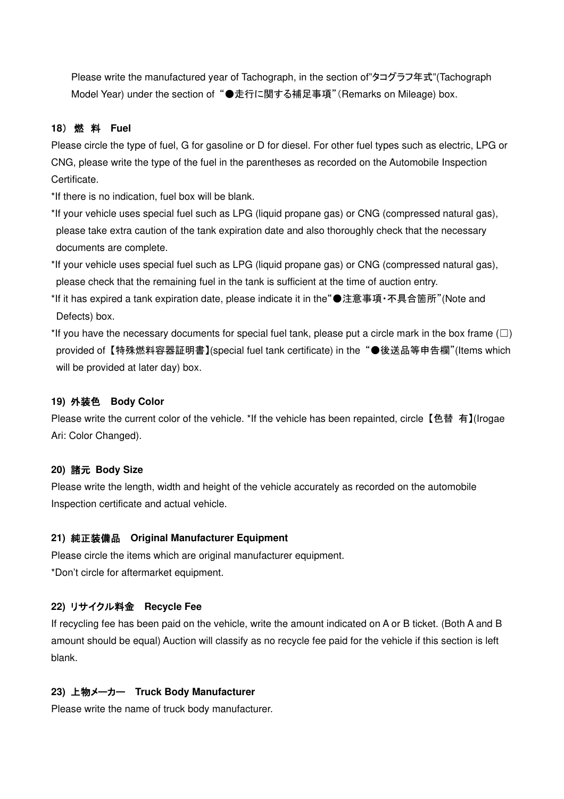Please write the manufactured year of Tachograph, in the section of"タコグラフ年式"(Tachograph Model Year) under the section of "●走行に関する補足事項"(Remarks on Mileage) box.

## **18**) 燃 料 **Fuel**

Please circle the type of fuel, G for gasoline or D for diesel. For other fuel types such as electric, LPG or CNG, please write the type of the fuel in the parentheses as recorded on the Automobile Inspection Certificate.

\*If there is no indication, fuel box will be blank.

\*If your vehicle uses special fuel such as LPG (liquid propane gas) or CNG (compressed natural gas), please take extra caution of the tank expiration date and also thoroughly check that the necessary documents are complete.

\*If your vehicle uses special fuel such as LPG (liquid propane gas) or CNG (compressed natural gas), please check that the remaining fuel in the tank is sufficient at the time of auction entry.

\*If it has expired a tank expiration date, please indicate it in the"●注意事項・不具合箇所"(Note and Defects) box.

\*If you have the necessary documents for special fuel tank, please put a circle mark in the box frame ( $\Box$ ) provided of 【特殊燃料容器証明書】(special fuel tank certificate) in the "●後送品等申告欄"(Items which will be provided at later day) box.

#### **19)** 外装色 **Body Color**

Please write the current color of the vehicle. \*If the vehicle has been repainted, circle 【色替 有】(Irogae Ari: Color Changed).

## **20)** 諸元 **Body Size**

Please write the length, width and height of the vehicle accurately as recorded on the automobile Inspection certificate and actual vehicle.

## **21)** 純正装備品 **Original Manufacturer Equipment**

Please circle the items which are original manufacturer equipment. \*Don't circle for aftermarket equipment.

## **22)** リサイクル料金 **Recycle Fee**

If recycling fee has been paid on the vehicle, write the amount indicated on A or B ticket. (Both A and B amount should be equal) Auction will classify as no recycle fee paid for the vehicle if this section is left blank.

## **23)** 上物メーカー **Truck Body Manufacturer**

Please write the name of truck body manufacturer.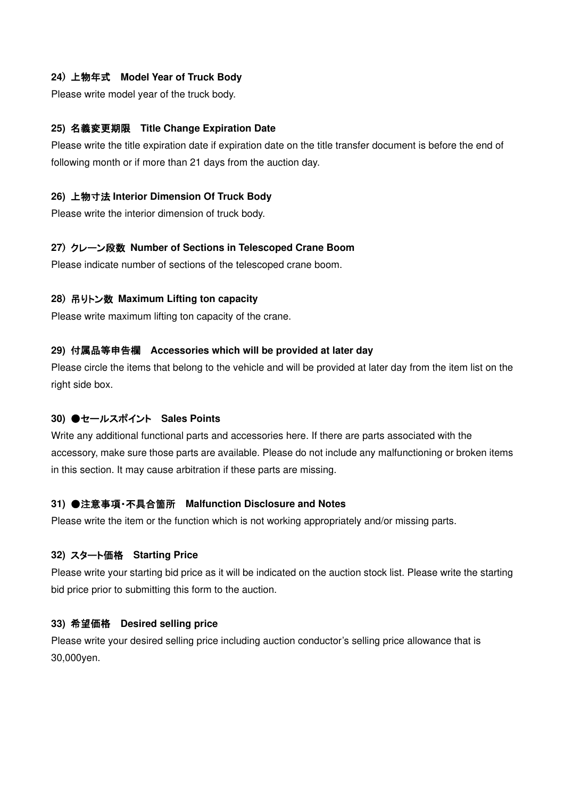#### **24**) 上物年式 **Model Year of Truck Body**

Please write model year of the truck body.

#### **25)** 名義変更期限 **Title Change Expiration Date**

Please write the title expiration date if expiration date on the title transfer document is before the end of following month or if more than 21 days from the auction day.

#### **26)** 上物寸法 **Interior Dimension Of Truck Body**

Please write the interior dimension of truck body.

#### **27**) クレーン段数 **Number of Sections in Telescoped Crane Boom**

Please indicate number of sections of the telescoped crane boom.

#### **28**) 吊りトン数 **Maximum Lifting ton capacity**

Please write maximum lifting ton capacity of the crane.

#### **29)** 付属品等申告欄 **Accessories which will be provided at later day**

Please circle the items that belong to the vehicle and will be provided at later day from the item list on the right side box.

#### **30)** ●セールスポイント **Sales Points**

Write any additional functional parts and accessories here. If there are parts associated with the accessory, make sure those parts are available. Please do not include any malfunctioning or broken items in this section. It may cause arbitration if these parts are missing.

#### **31)** ●注意事項・不具合箇所 **Malfunction Disclosure and Notes**

Please write the item or the function which is not working appropriately and/or missing parts.

#### **32)** スタート価格 **Starting Price**

Please write your starting bid price as it will be indicated on the auction stock list. Please write the starting bid price prior to submitting this form to the auction.

#### **33)** 希望価格 **Desired selling price**

Please write your desired selling price including auction conductor's selling price allowance that is 30,000yen.